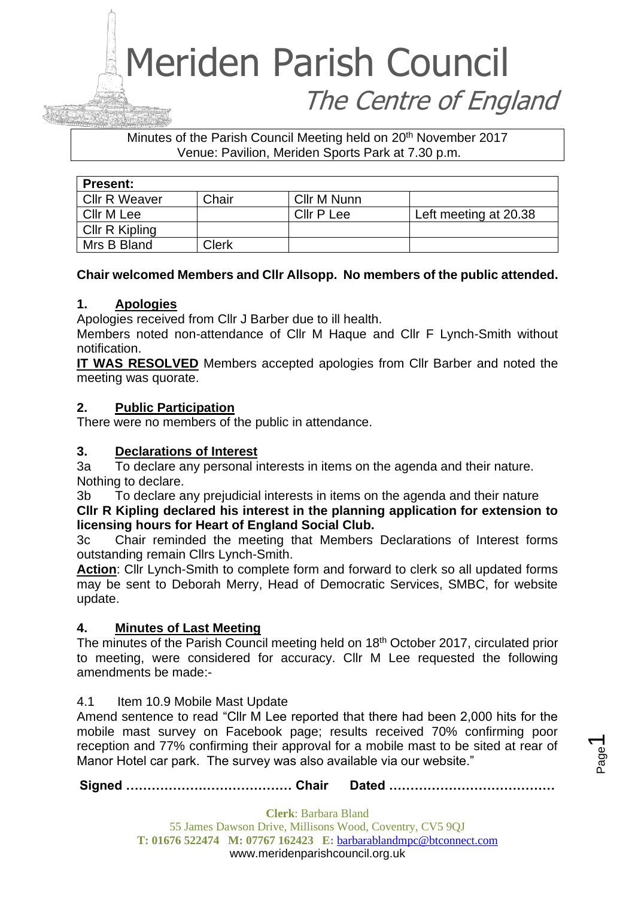### Meriden Parish Council The Centre of England

#### Minutes of the Parish Council Meeting held on 20<sup>th</sup> November 2017 Venue: Pavilion, Meriden Sports Park at 7.30 p.m.

| <b>Present:</b>      |       |             |                       |
|----------------------|-------|-------------|-----------------------|
| <b>Cllr R Weaver</b> | Chair | Cllr M Nunn |                       |
| Cllr M Lee           |       | Cllr P Lee  | Left meeting at 20.38 |
| Cllr R Kipling       |       |             |                       |
| Mrs B Bland          | Clerk |             |                       |

#### **Chair welcomed Members and Cllr Allsopp. No members of the public attended.**

#### **1. Apologies**

Apologies received from Cllr J Barber due to ill health.

Members noted non-attendance of Cllr M Haque and Cllr F Lynch-Smith without notification.

**IT WAS RESOLVED** Members accepted apologies from Cllr Barber and noted the meeting was quorate.

#### **2. Public Participation**

There were no members of the public in attendance.

#### **3. Declarations of Interest**

3a To declare any personal interests in items on the agenda and their nature. Nothing to declare.

3b To declare any prejudicial interests in items on the agenda and their nature **Cllr R Kipling declared his interest in the planning application for extension to licensing hours for Heart of England Social Club.**

3c Chair reminded the meeting that Members Declarations of Interest forms outstanding remain Cllrs Lynch-Smith.

**Action**: Cllr Lynch-Smith to complete form and forward to clerk so all updated forms may be sent to Deborah Merry, Head of Democratic Services, SMBC, for website update.

#### **4. Minutes of Last Meeting**

The minutes of the Parish Council meeting held on 18th October 2017, circulated prior to meeting, were considered for accuracy. Cllr M Lee requested the following amendments be made:-

#### 4.1 Item 10.9 Mobile Mast Update

Amend sentence to read "Cllr M Lee reported that there had been 2,000 hits for the mobile mast survey on Facebook page; results received 70% confirming poor reception and 77% confirming their approval for a mobile mast to be sited at rear of Manor Hotel car park. The survey was also available via our website."

**Signed ………………………………… Chair Dated …………………………………**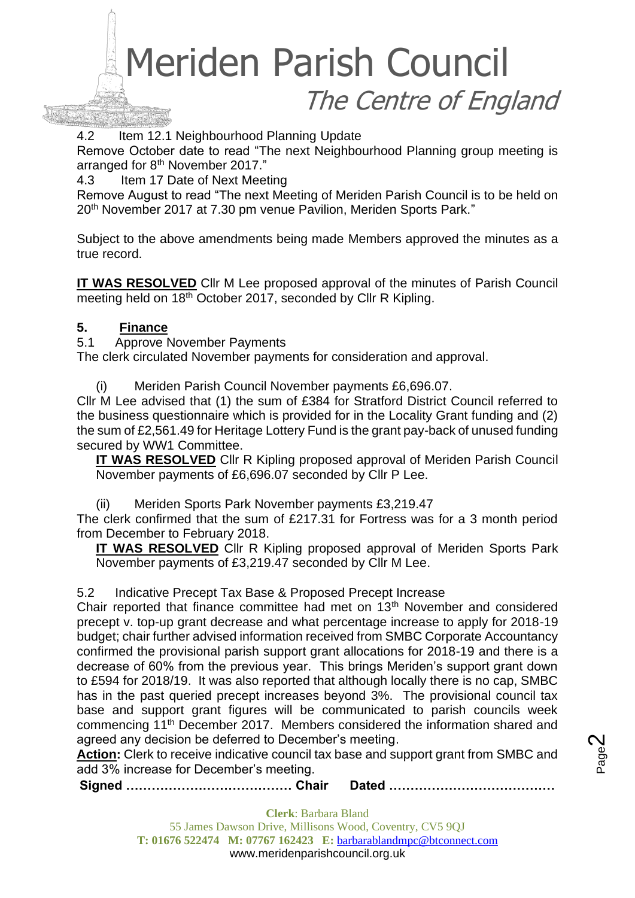### Meriden Parish Council The Centre of England

4.2 Item 12.1 Neighbourhood Planning Update

Remove October date to read "The next Neighbourhood Planning group meeting is arranged for 8<sup>th</sup> November 2017."

4.3 Item 17 Date of Next Meeting

Remove August to read "The next Meeting of Meriden Parish Council is to be held on 20<sup>th</sup> November 2017 at 7.30 pm venue Pavilion, Meriden Sports Park."

Subject to the above amendments being made Members approved the minutes as a true record.

**IT WAS RESOLVED** Cllr M Lee proposed approval of the minutes of Parish Council meeting held on 18<sup>th</sup> October 2017, seconded by Cllr R Kipling.

#### **5. Finance**

5.1 Approve November Payments

The clerk circulated November payments for consideration and approval.

(i) Meriden Parish Council November payments £6,696.07.

Cllr M Lee advised that (1) the sum of £384 for Stratford District Council referred to the business questionnaire which is provided for in the Locality Grant funding and (2) the sum of £2,561.49 for Heritage Lottery Fund is the grant pay-back of unused funding secured by WW1 Committee.

**IT WAS RESOLVED** Cllr R Kipling proposed approval of Meriden Parish Council November payments of £6,696.07 seconded by Cllr P Lee.

(ii) Meriden Sports Park November payments £3,219.47

The clerk confirmed that the sum of £217.31 for Fortress was for a 3 month period from December to February 2018.

**IT WAS RESOLVED** Cllr R Kipling proposed approval of Meriden Sports Park November payments of £3,219.47 seconded by Cllr M Lee.

5.2 Indicative Precept Tax Base & Proposed Precept Increase

Chair reported that finance committee had met on 13<sup>th</sup> November and considered precept v. top-up grant decrease and what percentage increase to apply for 2018-19 budget; chair further advised information received from SMBC Corporate Accountancy confirmed the provisional parish support grant allocations for 2018-19 and there is a decrease of 60% from the previous year. This brings Meriden's support grant down to £594 for 2018/19. It was also reported that although locally there is no cap, SMBC has in the past queried precept increases beyond 3%. The provisional council tax base and support grant figures will be communicated to parish councils week commencing 11th December 2017. Members considered the information shared and agreed any decision be deferred to December's meeting.

**Action:** Clerk to receive indicative council tax base and support grant from SMBC and add 3% increase for December's meeting.

**Signed ………………………………… Chair Dated …………………………………**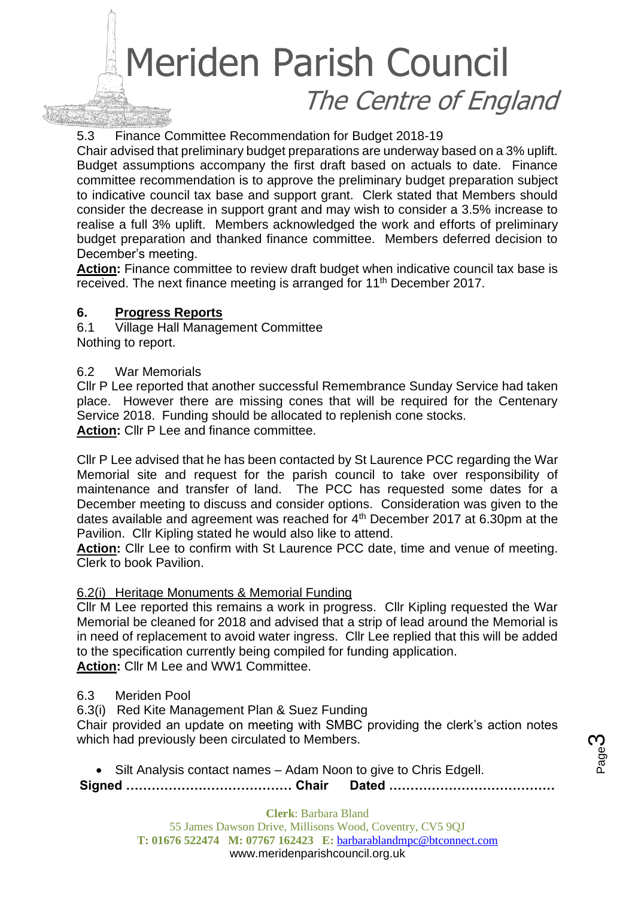### Meriden Parish Council The Centre of England

#### 5.3 Finance Committee Recommendation for Budget 2018-19

Chair advised that preliminary budget preparations are underway based on a 3% uplift. Budget assumptions accompany the first draft based on actuals to date. Finance committee recommendation is to approve the preliminary budget preparation subject to indicative council tax base and support grant. Clerk stated that Members should consider the decrease in support grant and may wish to consider a 3.5% increase to realise a full 3% uplift. Members acknowledged the work and efforts of preliminary budget preparation and thanked finance committee. Members deferred decision to December's meeting.

Action: Finance committee to review draft budget when indicative council tax base is received. The next finance meeting is arranged for 11<sup>th</sup> December 2017.

#### **6. Progress Reports**

6.1 Village Hall Management Committee Nothing to report.

#### 6.2 War Memorials

Cllr P Lee reported that another successful Remembrance Sunday Service had taken place. However there are missing cones that will be required for the Centenary Service 2018. Funding should be allocated to replenish cone stocks. **Action:** Cllr P Lee and finance committee.

Cllr P Lee advised that he has been contacted by St Laurence PCC regarding the War Memorial site and request for the parish council to take over responsibility of maintenance and transfer of land. The PCC has requested some dates for a December meeting to discuss and consider options. Consideration was given to the dates available and agreement was reached for  $4<sup>th</sup>$  December 2017 at 6.30pm at the Pavilion. Cllr Kipling stated he would also like to attend.

**Action:** Cllr Lee to confirm with St Laurence PCC date, time and venue of meeting. Clerk to book Pavilion.

#### 6.2(i) Heritage Monuments & Memorial Funding

Cllr M Lee reported this remains a work in progress. Cllr Kipling requested the War Memorial be cleaned for 2018 and advised that a strip of lead around the Memorial is in need of replacement to avoid water ingress. Cllr Lee replied that this will be added to the specification currently being compiled for funding application. **Action:** Cllr M Lee and WW1 Committee.

#### 6.3 Meriden Pool

6.3(i) Red Kite Management Plan & Suez Funding

Chair provided an update on meeting with SMBC providing the clerk's action notes which had previously been circulated to Members.

**Signed ………………………………… Chair Dated …………………………………** • Silt Analysis contact names – Adam Noon to give to Chris Edgell.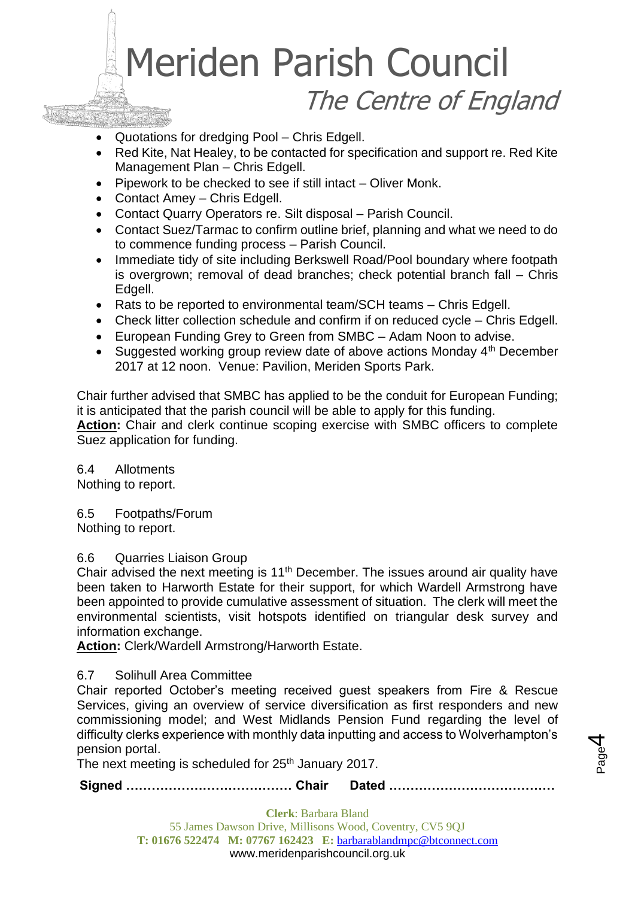## Meriden Parish Council The Centre of England

- Quotations for dredging Pool Chris Edgell.
- Red Kite, Nat Healey, to be contacted for specification and support re. Red Kite Management Plan – Chris Edgell.
- Pipework to be checked to see if still intact Oliver Monk.
- Contact Amey Chris Edgell.
- Contact Quarry Operators re. Silt disposal Parish Council.
- Contact Suez/Tarmac to confirm outline brief, planning and what we need to do to commence funding process – Parish Council.
- Immediate tidy of site including Berkswell Road/Pool boundary where footpath is overgrown; removal of dead branches; check potential branch fall – Chris Edgell.
- Rats to be reported to environmental team/SCH teams Chris Edgell.
- Check litter collection schedule and confirm if on reduced cycle Chris Edgell.
- European Funding Grey to Green from SMBC Adam Noon to advise.
- Suggested working group review date of above actions Monday  $4<sup>th</sup>$  December 2017 at 12 noon. Venue: Pavilion, Meriden Sports Park.

Chair further advised that SMBC has applied to be the conduit for European Funding; it is anticipated that the parish council will be able to apply for this funding. **Action:** Chair and clerk continue scoping exercise with SMBC officers to complete Suez application for funding.

6.4 Allotments

Nothing to report.

6.5 Footpaths/Forum Nothing to report.

#### 6.6 Quarries Liaison Group

Chair advised the next meeting is  $11<sup>th</sup>$  December. The issues around air quality have been taken to Harworth Estate for their support, for which Wardell Armstrong have been appointed to provide cumulative assessment of situation. The clerk will meet the environmental scientists, visit hotspots identified on triangular desk survey and information exchange.

**Action:** Clerk/Wardell Armstrong/Harworth Estate.

#### 6.7 Solihull Area Committee

Chair reported October's meeting received guest speakers from Fire & Rescue Services, giving an overview of service diversification as first responders and new commissioning model; and West Midlands Pension Fund regarding the level of difficulty clerks experience with monthly data inputting and access to Wolverhampton's pension portal.

The next meeting is scheduled for  $25<sup>th</sup>$  January 2017.

**Signed ………………………………… Chair Dated …………………………………**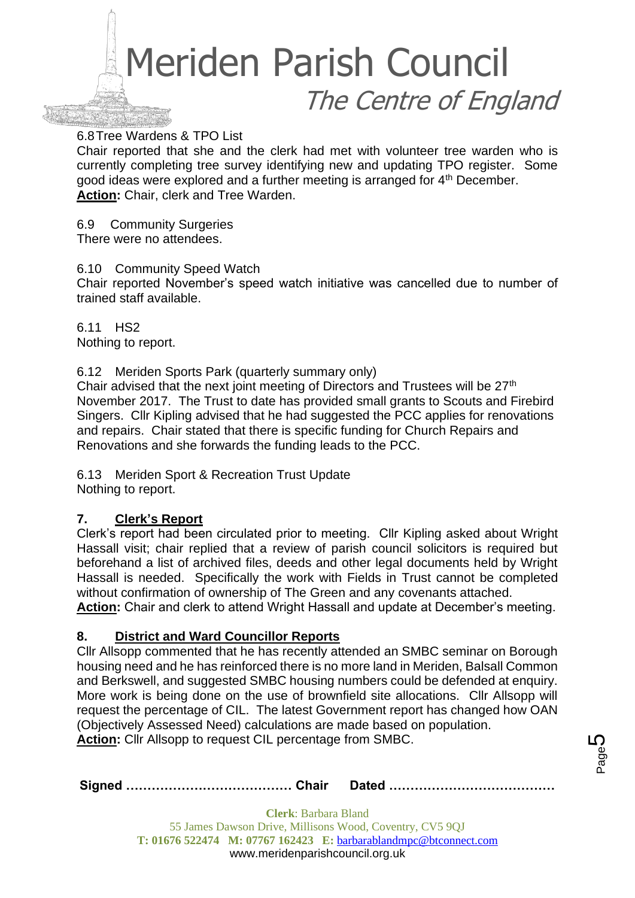

#### 6.8Tree Wardens & TPO List

Chair reported that she and the clerk had met with volunteer tree warden who is currently completing tree survey identifying new and updating TPO register. Some good ideas were explored and a further meeting is arranged for 4<sup>th</sup> December. **Action:** Chair, clerk and Tree Warden.

6.9 Community Surgeries There were no attendees.

6.10 Community Speed Watch

Chair reported November's speed watch initiative was cancelled due to number of trained staff available.

6.11 HS2 Nothing to report.

6.12 Meriden Sports Park (quarterly summary only)

Chair advised that the next joint meeting of Directors and Trustees will be 27th November 2017. The Trust to date has provided small grants to Scouts and Firebird Singers. Cllr Kipling advised that he had suggested the PCC applies for renovations and repairs. Chair stated that there is specific funding for Church Repairs and Renovations and she forwards the funding leads to the PCC.

6.13 Meriden Sport & Recreation Trust Update Nothing to report.

#### **7. Clerk's Report**

Clerk's report had been circulated prior to meeting. Cllr Kipling asked about Wright Hassall visit; chair replied that a review of parish council solicitors is required but beforehand a list of archived files, deeds and other legal documents held by Wright Hassall is needed. Specifically the work with Fields in Trust cannot be completed without confirmation of ownership of The Green and any covenants attached.

**Action:** Chair and clerk to attend Wright Hassall and update at December's meeting.

#### **8. District and Ward Councillor Reports**

Cllr Allsopp commented that he has recently attended an SMBC seminar on Borough housing need and he has reinforced there is no more land in Meriden, Balsall Common and Berkswell, and suggested SMBC housing numbers could be defended at enquiry. More work is being done on the use of brownfield site allocations. Cllr Allsopp will request the percentage of CIL. The latest Government report has changed how OAN (Objectively Assessed Need) calculations are made based on population. **Action:** Cllr Allsopp to request CIL percentage from SMBC.

|--|--|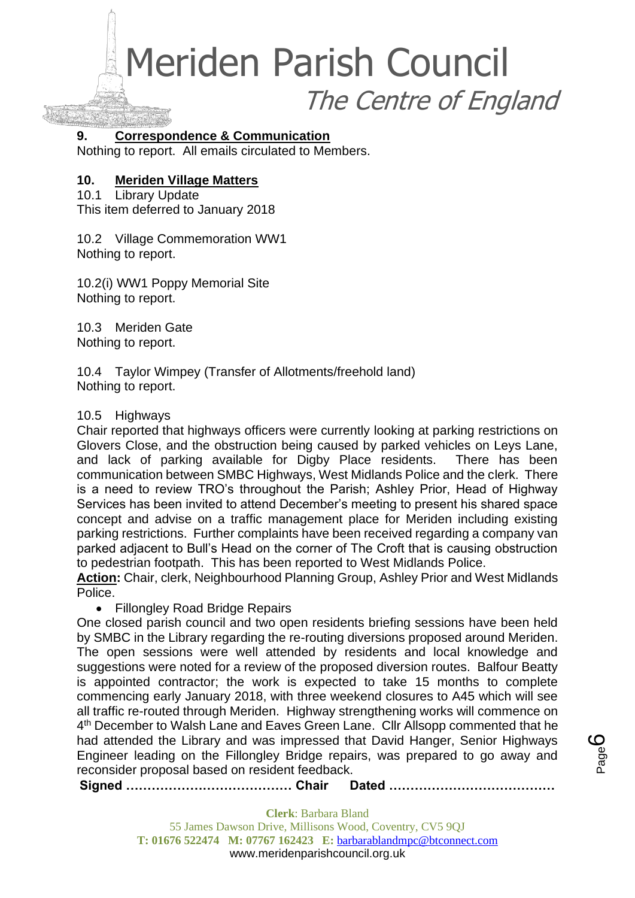Meriden Parish Council The Centre of England

#### **9. Correspondence & Communication**

Nothing to report. All emails circulated to Members.

#### **10. Meriden Village Matters**

10.1 Library Update This item deferred to January 2018

10.2 Village Commemoration WW1 Nothing to report.

10.2(i) WW1 Poppy Memorial Site Nothing to report.

10.3 Meriden Gate Nothing to report.

10.4 Taylor Wimpey (Transfer of Allotments/freehold land) Nothing to report.

#### 10.5 Highways

Chair reported that highways officers were currently looking at parking restrictions on Glovers Close, and the obstruction being caused by parked vehicles on Leys Lane, and lack of parking available for Digby Place residents. There has been communication between SMBC Highways, West Midlands Police and the clerk. There is a need to review TRO's throughout the Parish; Ashley Prior, Head of Highway Services has been invited to attend December's meeting to present his shared space concept and advise on a traffic management place for Meriden including existing parking restrictions. Further complaints have been received regarding a company van parked adjacent to Bull's Head on the corner of The Croft that is causing obstruction to pedestrian footpath. This has been reported to West Midlands Police.

**Action:** Chair, clerk, Neighbourhood Planning Group, Ashley Prior and West Midlands Police.

• Fillongley Road Bridge Repairs

One closed parish council and two open residents briefing sessions have been held by SMBC in the Library regarding the re-routing diversions proposed around Meriden. The open sessions were well attended by residents and local knowledge and suggestions were noted for a review of the proposed diversion routes. Balfour Beatty is appointed contractor; the work is expected to take 15 months to complete commencing early January 2018, with three weekend closures to A45 which will see all traffic re-routed through Meriden. Highway strengthening works will commence on 4<sup>th</sup> December to Walsh Lane and Eaves Green Lane. Cllr Allsopp commented that he had attended the Library and was impressed that David Hanger, Senior Highways Engineer leading on the Fillongley Bridge repairs, was prepared to go away and reconsider proposal based on resident feedback.

**Signed ………………………………… Chair Dated …………………………………**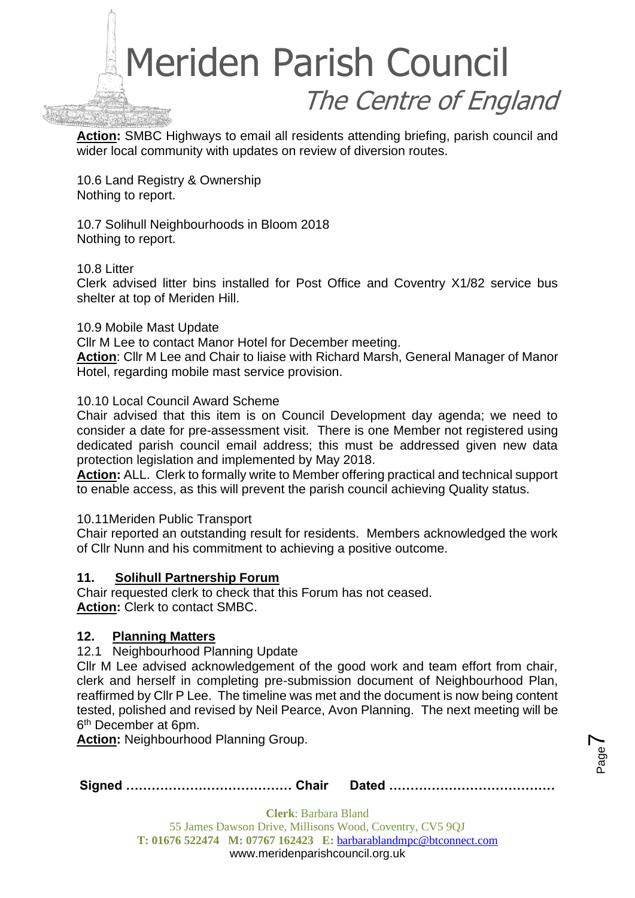

**Action:** SMBC Highways to email all residents attending briefing, parish council and wider local community with updates on review of diversion routes.

10.6 Land Registry & Ownership Nothing to report.

10.7 Solihull Neighbourhoods in Bloom 2018 Nothing to report.

#### 10.8 Litter

Clerk advised litter bins installed for Post Office and Coventry X1/82 service bus shelter at top of Meriden Hill.

#### 10.9 Mobile Mast Update

Cllr M Lee to contact Manor Hotel for December meeting.

**Action**: Cllr M Lee and Chair to liaise with Richard Marsh, General Manager of Manor Hotel, regarding mobile mast service provision.

#### 10.10 Local Council Award Scheme

Chair advised that this item is on Council Development day agenda; we need to consider a date for pre-assessment visit. There is one Member not registered using dedicated parish council email address; this must be addressed given new data protection legislation and implemented by May 2018.

**Action:** ALL. Clerk to formally write to Member offering practical and technical support to enable access, as this will prevent the parish council achieving Quality status.

#### 10.11Meriden Public Transport

Chair reported an outstanding result for residents. Members acknowledged the work of Cllr Nunn and his commitment to achieving a positive outcome.

#### **11. Solihull Partnership Forum**

Chair requested clerk to check that this Forum has not ceased. **Action:** Clerk to contact SMBC.

#### **12. Planning Matters**

12.1 Neighbourhood Planning Update

Cllr M Lee advised acknowledgement of the good work and team effort from chair, clerk and herself in completing pre-submission document of Neighbourhood Plan, reaffirmed by Cllr P Lee. The timeline was met and the document is now being content tested, polished and revised by Neil Pearce, Avon Planning. The next meeting will be 6<sup>th</sup> December at 6pm.

**Action:** Neighbourhood Planning Group.

|--|--|--|

Page  $\blacktriangleright$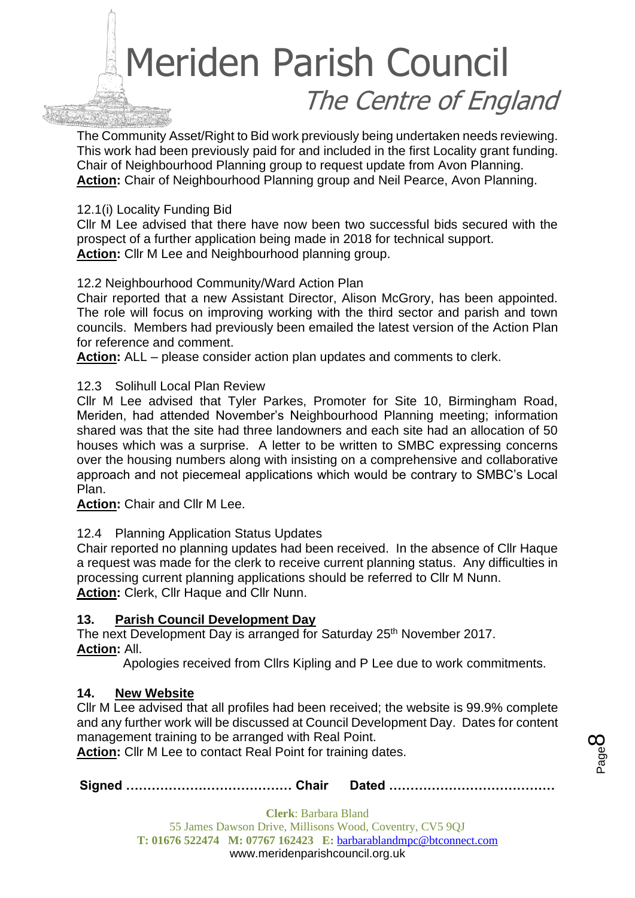# Meriden Parish Council The Centre of England

The Community Asset/Right to Bid work previously being undertaken needs reviewing. This work had been previously paid for and included in the first Locality grant funding. Chair of Neighbourhood Planning group to request update from Avon Planning. **Action:** Chair of Neighbourhood Planning group and Neil Pearce, Avon Planning.

#### 12.1(i) Locality Funding Bid

Cllr M Lee advised that there have now been two successful bids secured with the prospect of a further application being made in 2018 for technical support. **Action:** Cllr M Lee and Neighbourhood planning group.

#### 12.2 Neighbourhood Community/Ward Action Plan

Chair reported that a new Assistant Director, Alison McGrory, has been appointed. The role will focus on improving working with the third sector and parish and town councils. Members had previously been emailed the latest version of the Action Plan for reference and comment.

**Action:** ALL – please consider action plan updates and comments to clerk.

#### 12.3 Solihull Local Plan Review

Cllr M Lee advised that Tyler Parkes, Promoter for Site 10, Birmingham Road, Meriden, had attended November's Neighbourhood Planning meeting; information shared was that the site had three landowners and each site had an allocation of 50 houses which was a surprise. A letter to be written to SMBC expressing concerns over the housing numbers along with insisting on a comprehensive and collaborative approach and not piecemeal applications which would be contrary to SMBC's Local Plan.

**Action:** Chair and Cllr M Lee.

#### 12.4 Planning Application Status Updates

Chair reported no planning updates had been received. In the absence of Cllr Haque a request was made for the clerk to receive current planning status. Any difficulties in processing current planning applications should be referred to Cllr M Nunn. **Action:** Clerk, Cllr Haque and Cllr Nunn.

#### **13. Parish Council Development Day**

The next Development Day is arranged for Saturday 25<sup>th</sup> November 2017. **Action:** All.

Apologies received from Cllrs Kipling and P Lee due to work commitments.

#### **14. New Website**

Cllr M Lee advised that all profiles had been received; the website is 99.9% complete and any further work will be discussed at Council Development Day. Dates for content management training to be arranged with Real Point.

**Action:** Cllr M Lee to contact Real Point for training dates.

**Signed ………………………………… Chair Dated …………………………………**